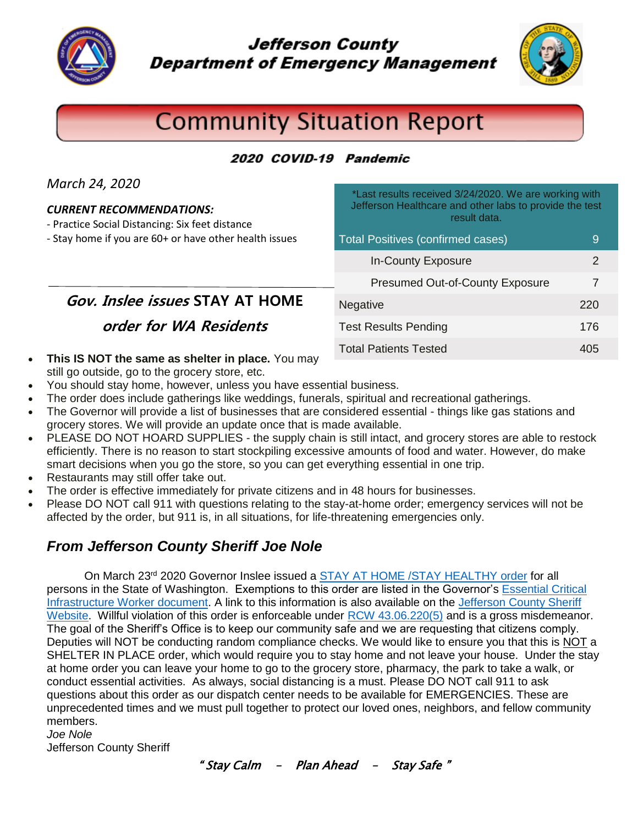

**Jefferson County Department of Emergency Management** 



# **Community Situation Report**

#### 2020 COVID-19 Pandemic

*March 24, 2020*

#### *CURRENT RECOMMENDATIONS:*

- Practice Social Distancing: Six feet distance

- Stay home if you are 60+ or have other health issues

\*Last results received 3/24/2020. We are working with Jefferson Healthcare and other labs to provide the test result data.

| <b>Total Positives (confirmed cases)</b> |       |
|------------------------------------------|-------|
| <b>In-County Exposure</b>                | 2     |
| <b>Presumed Out-of-County Exposure</b>   | 7     |
| <b>Negative</b>                          | 220   |
| <b>Test Results Pending</b>              | 176   |
| <b>Total Patients Tested</b>             | 40 In |

**Gov. Inslee issues STAY AT HOME**

**order for WA Residents**

- **This IS NOT the same as shelter in place.** You may still go outside, go to the grocery store, etc.
- You should stay home, however, unless you have essential business.
- The order does include gatherings like weddings, funerals, spiritual and recreational gatherings.
- The Governor will provide a list of businesses that are considered essential things like gas stations and grocery stores. We will provide an update once that is made available.
- PLEASE DO NOT HOARD SUPPLIES the supply chain is still intact, and grocery stores are able to restock efficiently. There is no reason to start stockpiling excessive amounts of food and water. However, do make smart decisions when you go the store, so you can get everything essential in one trip.
- Restaurants may still offer take out.
- The order is effective immediately for private citizens and in 48 hours for businesses.
- Please DO NOT call 911 with questions relating to the stay-at-home order; emergency services will not be affected by the order, but 911 is, in all situations, for life-threatening emergencies only.

# *From Jefferson County Sheriff Joe Nole*

On March 23<sup>rd</sup> 2020 Governor Inslee issued a [STAY AT HOME /STAY HEALTHY order](https://www.co.jefferson.wa.us/DocumentCenter/View/9463/20-25-Coronovirus-Stay-Safe-Stay-Healthy-tmp-002?bidId=) for all persons in the State of Washington. Exemptions to this order are listed in the Governor's [Essential Critical](https://www.co.jefferson.wa.us/DocumentCenter/View/9465/WA-Essential-Critical-Infrastructure-Workers-Final?bidId=)  [Infrastructure Worker document.](https://www.co.jefferson.wa.us/DocumentCenter/View/9465/WA-Essential-Critical-Infrastructure-Workers-Final?bidId=) A link to this information is also available on the [Jefferson County Sheriff](https://www.co.jefferson.wa.us/172/Sheriff)  [Website.](https://www.co.jefferson.wa.us/172/Sheriff) Willful violation of this order is enforceable under [RCW 43.06.220\(5\)](https://apps.leg.wa.gov/RCW/default.aspx?cite=43.06.220) and is a gross misdemeanor. The goal of the Sheriff's Office is to keep our community safe and we are requesting that citizens comply. Deputies will NOT be conducting random compliance checks. We would like to ensure you that this is NOT a SHELTER IN PLACE order, which would require you to stay home and not leave your house. Under the stay at home order you can leave your home to go to the grocery store, pharmacy, the park to take a walk, or conduct essential activities. As always, social distancing is a must. Please DO NOT call 911 to ask questions about this order as our dispatch center needs to be available for EMERGENCIES. These are unprecedented times and we must pull together to protect our loved ones, neighbors, and fellow community members.

*Joe Nole*

Jefferson County Sheriff

" Stay Calm – Plan Ahead – Stay Safe "